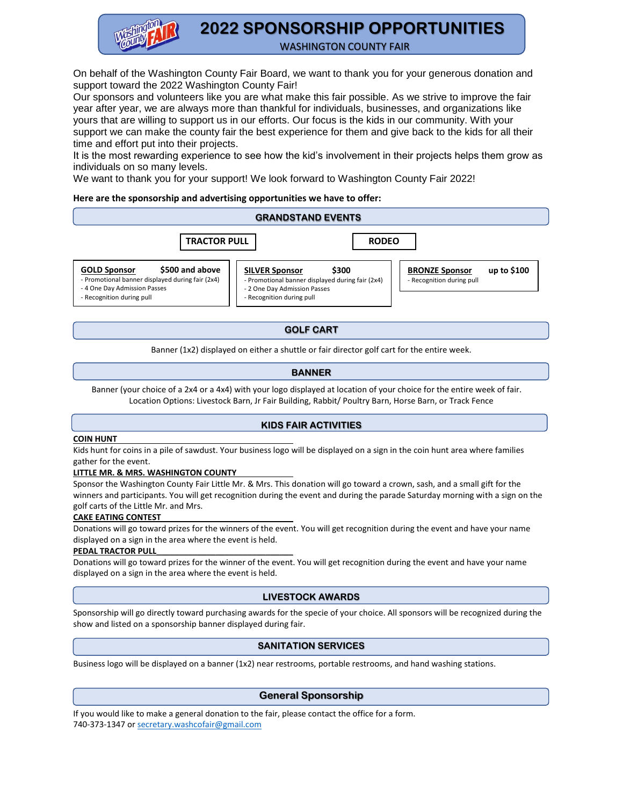

# **2022 SPONSORSHIP OPPORTUNITIES**

WASHINGTON COUNTY FAIR

On behalf of the Washington County Fair Board, we want to thank you for your generous donation and support toward the 2022 Washington County Fair!

Our sponsors and volunteers like you are what make this fair possible. As we strive to improve the fair year after year, we are always more than thankful for individuals, businesses, and organizations like yours that are willing to support us in our efforts. Our focus is the kids in our community. With your support we can make the county fair the best experience for them and give back to the kids for all their time and effort put into their projects.

It is the most rewarding experience to see how the kid's involvement in their projects helps them grow as individuals on so many levels.

We want to thank you for your support! We look forward to Washington County Fair 2022!

#### **Here are the sponsorship and advertising opportunities we have to offer:**

#### **SILVER Sponsor \$300** - Promotional banner displayed during fair (2x4) **BRONZE Sponsor up to \$100** - Recognition during pull **GOLD Sponsor \$500 and above** - Promotional banner displayed during fair (2x4) - 4 One Day Admission Passes  **TRACTOR PULL RODEO GRANDSTAND EVENTS**

- Recognition during pull

- 2 One Day Admission Passes - Recognition during pull

### **GOLF CART**

Banner (1x2) displayed on either a shuttle or fair director golf cart for the entire week.

# **BANNER**

Banner (your choice of a 2x4 or a 4x4) with your logo displayed at location of your choice for the entire week of fair. Location Options: Livestock Barn, Jr Fair Building, Rabbit/ Poultry Barn, Horse Barn, or Track Fence

#### **KIDS FAIR ACTIVITIES**

#### **COIN HUNT**

Kids hunt for coins in a pile of sawdust. Your business logo will be displayed on a sign in the coin hunt area where families gather for the event.

#### **LITTLE MR. & MRS. WASHINGTON COUNTY**

Sponsor the Washington County Fair Little Mr. & Mrs. This donation will go toward a crown, sash, and a small gift for the winners and participants. You will get recognition during the event and during the parade Saturday morning with a sign on the golf carts of the Little Mr. and Mrs.

#### **CAKE EATING CONTEST**

Donations will go toward prizes for the winners of the event. You will get recognition during the event and have your name displayed on a sign in the area where the event is held.

#### PEDAL TRACTOR PULL

Donations will go toward prizes for the winner of the event. You will get recognition during the event and have your name displayed on a sign in the area where the event is held.

#### **LIVESTOCK AWARDS**

Sponsorship will go directly toward purchasing awards for the specie of your choice. All sponsors will be recognized during the show and listed on a sponsorship banner displayed during fair.

#### **SANITATION SERVICES**

Business logo will be displayed on a banner (1x2) near restrooms, portable restrooms, and hand washing stations.

# **General Sponsorship**

If you would like to make a general donation to the fair, please contact the office for a form. 740-373-1347 o[r secretary.washcofair@gmail.com](mailto:secretary.washcofair@gmail.com)